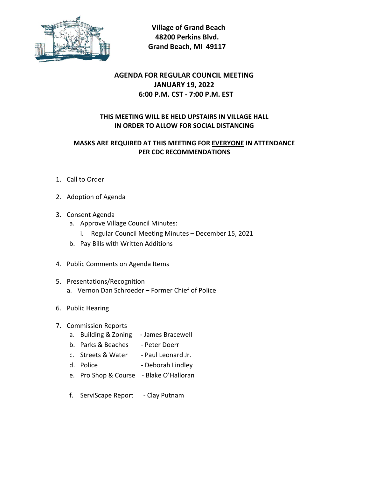

 Village of Grand Beach 48200 Perkins Blvd. Grand Beach, MI 49117

## AGENDA FOR REGULAR COUNCIL MEETING JANUARY 19, 2022 6:00 P.M. CST - 7:00 P.M. EST

## THIS MEETING WILL BE HELD UPSTAIRS IN VILLAGE HALL IN ORDER TO ALLOW FOR SOCIAL DISTANCING

## MASKS ARE REQUIRED AT THIS MEETING FOR EVERYONE IN ATTENDANCE PER CDC RECOMMENDATIONS

- 1. Call to Order
- 2. Adoption of Agenda
- 3. Consent Agenda
	- a. Approve Village Council Minutes:
		- i. Regular Council Meeting Minutes December 15, 2021
	- b. Pay Bills with Written Additions
- 4. Public Comments on Agenda Items
- 5. Presentations/Recognition
	- a. Vernon Dan Schroeder Former Chief of Police
- 6. Public Hearing
- 7. Commission Reports
	- a. Building & Zoning James Bracewell
	- b. Parks & Beaches Peter Doerr
	- c. Streets & Water Paul Leonard Jr.
	- d. Police Deborah Lindley
	- e. Pro Shop & Course Blake O'Halloran
	- f. ServiScape Report Clay Putnam